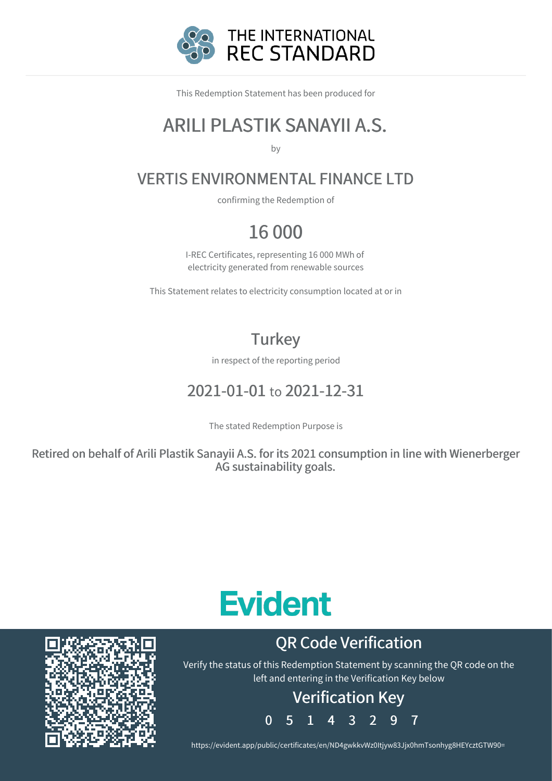

This Redemption Statement has been produced for

### ARILI PLASTIK SANAYII A.S.

by

### VERTIS ENVIRONMENTAL FINANCE LTD

confirming the Redemption of

### 16 000

I-REC Certificates, representing 16 000 MWh of electricity generated from renewable sources

This Statement relates to electricity consumption located at or in

### **Turkey**

in respect of the reporting period

### 2021-01-01 to 2021-12-31

The stated Redemption Purpose is

Retired on behalf of Arili Plastik Sanayii A.S. for its 2021 consumption in line with Wienerberger AG sustainability goals.

# **Evident**

## QR Code Verification

Verify the status of this Redemption Statement by scanning the QR code on the left and entering in the Verification Key below

### Verification Key

0 5 1 4 3 2 9 7

https://evident.app/public/certificates/en/ND4gwkkvWz0Itjyw83Jjx0hmTsonhyg8HEYcztGTW90=